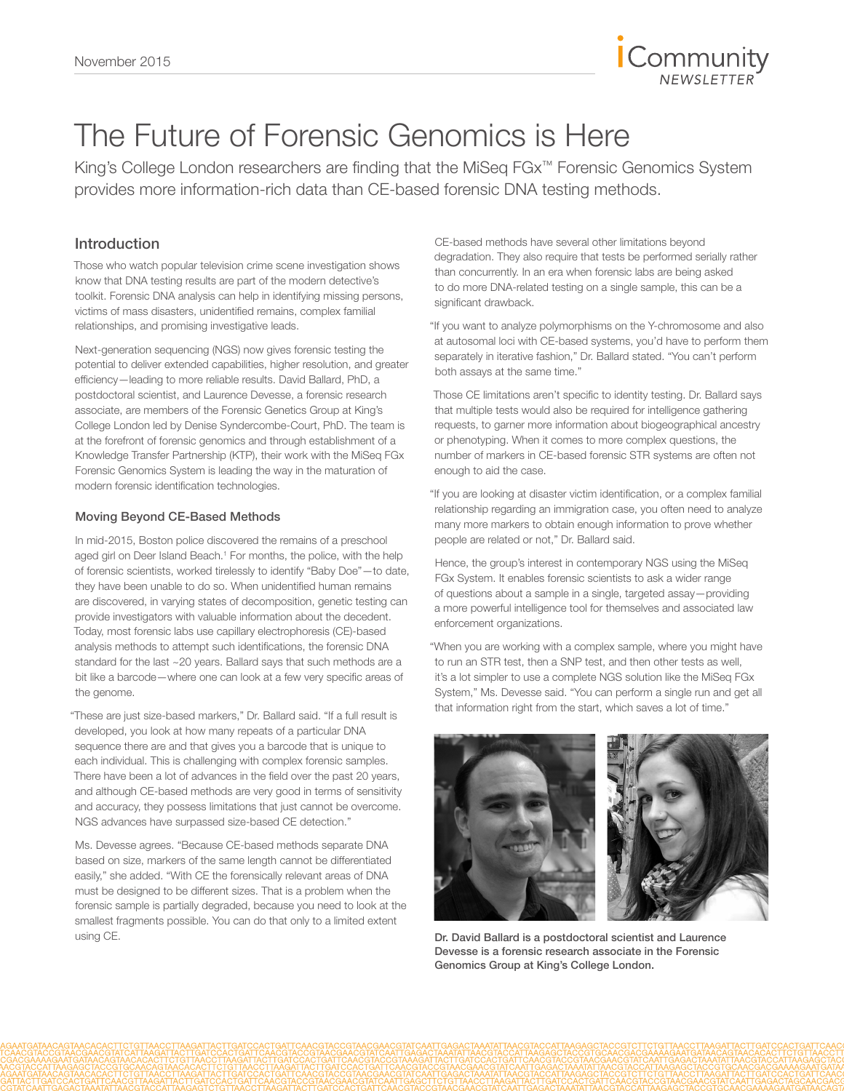

# The Future of Forensic Genomics is Here

King's College London researchers are finding that the MiSeq FGx™ Forensic Genomics System provides more information-rich data than CE-based forensic DNA testing methods.

### Introduction

Those who watch popular television crime scene investigation shows know that DNA testing results are part of the modern detective's toolkit. Forensic DNA analysis can help in identifying missing persons, victims of mass disasters, unidentified remains, complex familial relationships, and promising investigative leads.

Next-generation sequencing (NGS) now gives forensic testing the potential to deliver extended capabilities, higher resolution, and greater efficiency—leading to more reliable results. David Ballard, PhD, a postdoctoral scientist, and Laurence Devesse, a forensic research associate, are members of the Forensic Genetics Group at King's College London led by Denise Syndercombe-Court, PhD. The team is at the forefront of forensic genomics and through establishment of a Knowledge Transfer Partnership (KTP), their work with the MiSeq FGx Forensic Genomics System is leading the way in the maturation of modern forensic identification technologies.

#### Moving Beyond CE-Based Methods

In mid-2015, Boston police discovered the remains of a preschool aged girl on Deer Island Beach.<sup>1</sup> For months, the police, with the help of forensic scientists, worked tirelessly to identify "Baby Doe"—to date, they have been unable to do so. When unidentified human remains are discovered, in varying states of decomposition, genetic testing can provide investigators with valuable information about the decedent. Today, most forensic labs use capillary electrophoresis (CE)-based analysis methods to attempt such identifications, the forensic DNA standard for the last ~20 years. Ballard says that such methods are a bit like a barcode—where one can look at a few very specific areas of the genome.

"These are just size-based markers," Dr. Ballard said. "If a full result is developed, you look at how many repeats of a particular DNA sequence there are and that gives you a barcode that is unique to each individual. This is challenging with complex forensic samples. There have been a lot of advances in the field over the past 20 years, and although CE-based methods are very good in terms of sensitivity and accuracy, they possess limitations that just cannot be overcome. NGS advances have surpassed size-based CE detection."

Ms. Devesse agrees. "Because CE-based methods separate DNA based on size, markers of the same length cannot be differentiated easily," she added. "With CE the forensically relevant areas of DNA must be designed to be different sizes. That is a problem when the forensic sample is partially degraded, because you need to look at the smallest fragments possible. You can do that only to a limited extent using CE.

CE-based methods have several other limitations beyond degradation. They also require that tests be performed serially rather than concurrently. In an era when forensic labs are being asked to do more DNA-related testing on a single sample, this can be a significant drawback.

"If you want to analyze polymorphisms on the Y-chromosome and also at autosomal loci with CE-based systems, you'd have to perform them separately in iterative fashion," Dr. Ballard stated. "You can't perform both assays at the same time."

Those CE limitations aren't specific to identity testing. Dr. Ballard says that multiple tests would also be required for intelligence gathering requests, to garner more information about biogeographical ancestry or phenotyping. When it comes to more complex questions, the number of markers in CE-based forensic STR systems are often not enough to aid the case.

"If you are looking at disaster victim identification, or a complex familial relationship regarding an immigration case, you often need to analyze many more markers to obtain enough information to prove whether people are related or not," Dr. Ballard said.

Hence, the group's interest in contemporary NGS using the MiSeq FGx System. It enables forensic scientists to ask a wider range of questions about a sample in a single, targeted assay—providing a more powerful intelligence tool for themselves and associated law enforcement organizations.

"When you are working with a complex sample, where you might have to run an STR test, then a SNP test, and then other tests as well, it's a lot simpler to use a complete NGS solution like the MiSeq FGx System," Ms. Devesse said. "You can perform a single run and get all that information right from the start, which saves a lot of time."



Dr. David Ballard is a postdoctoral scientist and Laurence Devesse is a forensic research associate in the Forensic Genomics Group at King's College London.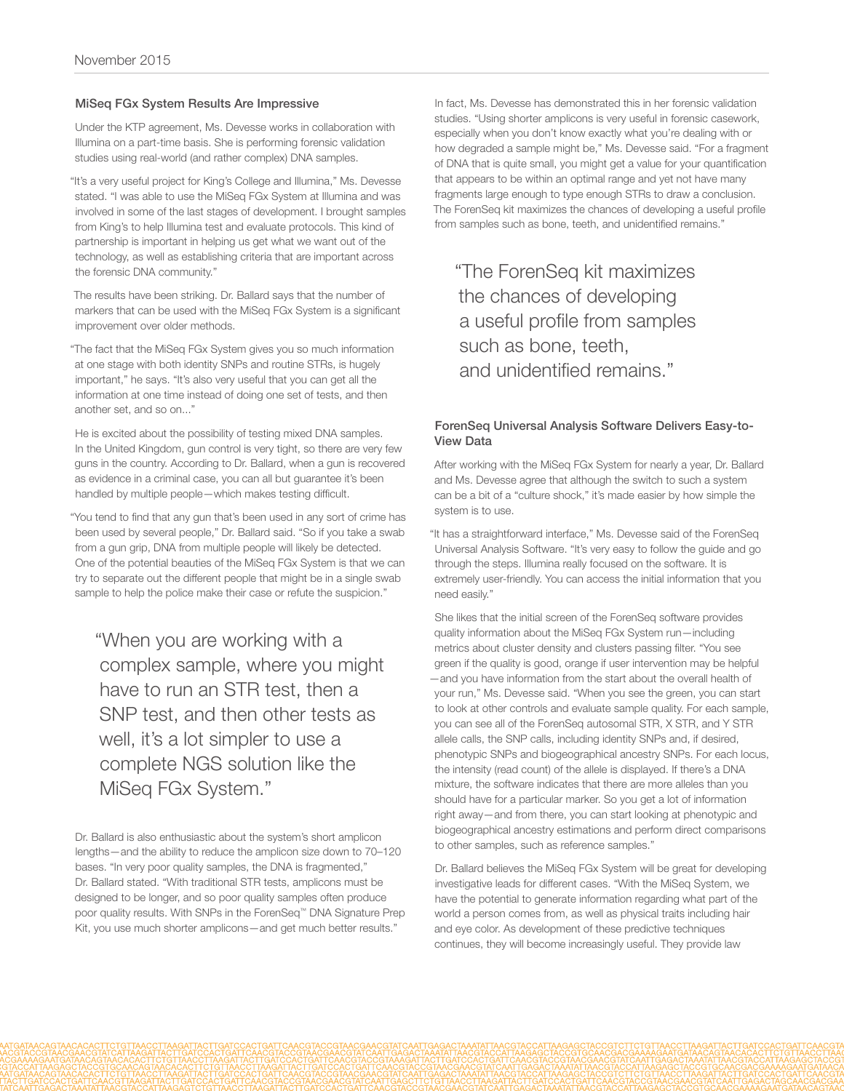#### MiSeq FGx System Results Are Impressive

Under the KTP agreement, Ms. Devesse works in collaboration with Illumina on a part-time basis. She is performing forensic validation studies using real-world (and rather complex) DNA samples.

"It's a very useful project for King's College and Illumina," Ms. Devesse stated. "I was able to use the MiSeq FGx System at Illumina and was involved in some of the last stages of development. I brought samples from King's to help Illumina test and evaluate protocols. This kind of partnership is important in helping us get what we want out of the technology, as well as establishing criteria that are important across the forensic DNA community."

The results have been striking. Dr. Ballard says that the number of markers that can be used with the MiSeq FGx System is a significant improvement over older methods.

"The fact that the MiSeq FGx System gives you so much information at one stage with both identity SNPs and routine STRs, is hugely important," he says. "It's also very useful that you can get all the information at one time instead of doing one set of tests, and then another set, and so on..."

He is excited about the possibility of testing mixed DNA samples. In the United Kingdom, gun control is very tight, so there are very few guns in the country. According to Dr. Ballard, when a gun is recovered as evidence in a criminal case, you can all but guarantee it's been handled by multiple people—which makes testing difficult.

"You tend to find that any gun that's been used in any sort of crime has been used by several people," Dr. Ballard said. "So if you take a swab from a gun grip, DNA from multiple people will likely be detected. One of the potential beauties of the MiSeq FGx System is that we can try to separate out the different people that might be in a single swab sample to help the police make their case or refute the suspicion."

"When you are working with a complex sample, where you might have to run an STR test, then a SNP test, and then other tests as well, it's a lot simpler to use a complete NGS solution like the MiSeq FGx System."

Dr. Ballard is also enthusiastic about the system's short amplicon lengths—and the ability to reduce the amplicon size down to 70–120 bases. "In very poor quality samples, the DNA is fragmented," Dr. Ballard stated. "With traditional STR tests, amplicons must be designed to be longer, and so poor quality samples often produce poor quality results. With SNPs in the ForenSeq™ DNA Signature Prep Kit, you use much shorter amplicons—and get much better results."

In fact, Ms. Devesse has demonstrated this in her forensic validation studies. "Using shorter amplicons is very useful in forensic casework, especially when you don't know exactly what you're dealing with or how degraded a sample might be," Ms. Devesse said. "For a fragment of DNA that is quite small, you might get a value for your quantification that appears to be within an optimal range and yet not have many fragments large enough to type enough STRs to draw a conclusion. The ForenSeq kit maximizes the chances of developing a useful profile from samples such as bone, teeth, and unidentified remains."

"The ForenSeq kit maximizes the chances of developing a useful profile from samples such as bone, teeth, and unidentified remains."

#### ForenSeq Universal Analysis Software Delivers Easy-to-View Data

After working with the MiSeq FGx System for nearly a year, Dr. Ballard and Ms. Devesse agree that although the switch to such a system can be a bit of a "culture shock," it's made easier by how simple the system is to use.

"It has a straightforward interface," Ms. Devesse said of the ForenSeq Universal Analysis Software. "It's very easy to follow the guide and go through the steps. Illumina really focused on the software. It is extremely user-friendly. You can access the initial information that you need easily."

She likes that the initial screen of the ForenSeq software provides quality information about the MiSeq FGx System run—including metrics about cluster density and clusters passing filter. "You see green if the quality is good, orange if user intervention may be helpful —and you have information from the start about the overall health of your run," Ms. Devesse said. "When you see the green, you can start to look at other controls and evaluate sample quality. For each sample, you can see all of the ForenSeq autosomal STR, X STR, and Y STR allele calls, the SNP calls, including identity SNPs and, if desired, phenotypic SNPs and biogeographical ancestry SNPs. For each locus, the intensity (read count) of the allele is displayed. If there's a DNA mixture, the software indicates that there are more alleles than you should have for a particular marker. So you get a lot of information right away—and from there, you can start looking at phenotypic and biogeographical ancestry estimations and perform direct comparisons to other samples, such as reference samples."

Dr. Ballard believes the MiSeq FGx System will be great for developing investigative leads for different cases. "With the MiSeq System, we have the potential to generate information regarding what part of the world a person comes from, as well as physical traits including hair and eye color. As development of these predictive techniques continues, they will become increasingly useful. They provide law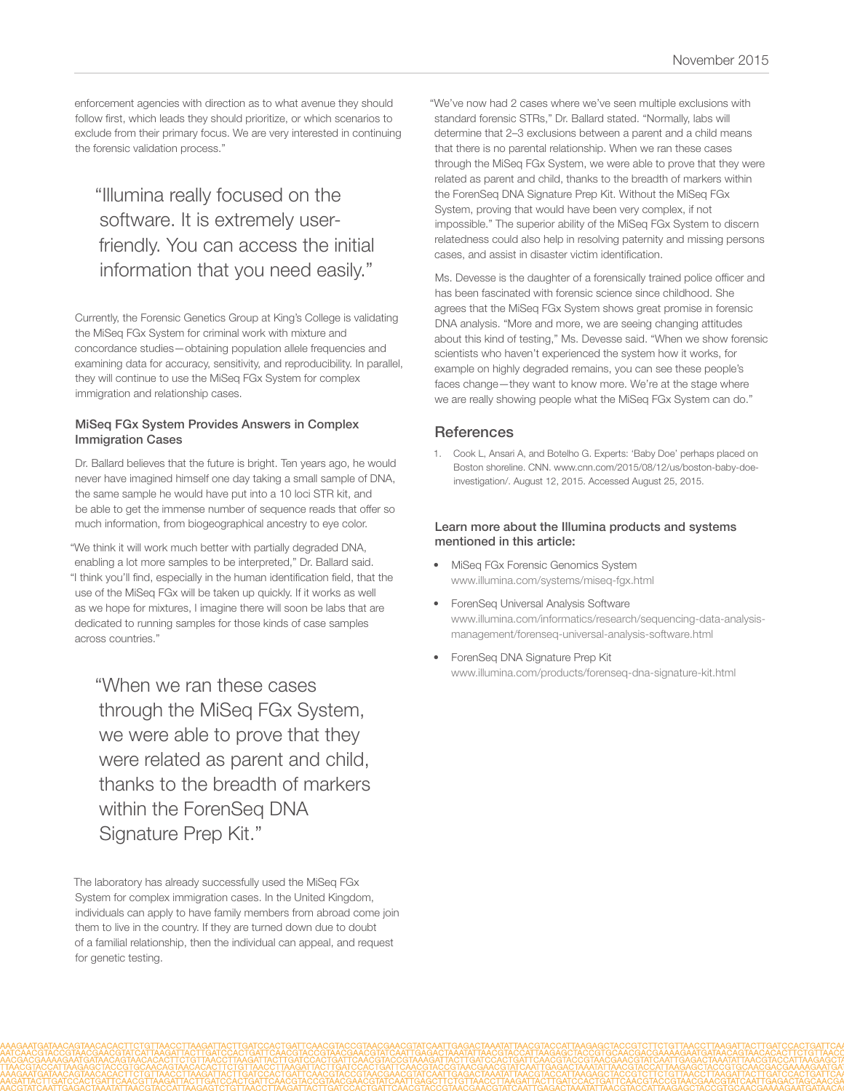enforcement agencies with direction as to what avenue they should follow first, which leads they should prioritize, or which scenarios to exclude from their primary focus. We are very interested in continuing the forensic validation process."

# "Illumina really focused on the software. It is extremely userfriendly. You can access the initial information that you need easily."

Currently, the Forensic Genetics Group at King's College is validating the MiSeq FGx System for criminal work with mixture and concordance studies—obtaining population allele frequencies and examining data for accuracy, sensitivity, and reproducibility. In parallel, they will continue to use the MiSeq FGx System for complex immigration and relationship cases.

#### MiSeq FGx System Provides Answers in Complex Immigration Cases

Dr. Ballard believes that the future is bright. Ten years ago, he would never have imagined himself one day taking a small sample of DNA, the same sample he would have put into a 10 loci STR kit, and be able to get the immense number of sequence reads that offer so much information, from biogeographical ancestry to eye color.

"We think it will work much better with partially degraded DNA, enabling a lot more samples to be interpreted," Dr. Ballard said. "I think you'll find, especially in the human identification field, that the use of the MiSeq FGx will be taken up quickly. If it works as well as we hope for mixtures, I imagine there will soon be labs that are dedicated to running samples for those kinds of case samples across countries."

"When we ran these cases through the MiSeq FGx System, we were able to prove that they were related as parent and child, thanks to the breadth of markers within the ForenSeq DNA Signature Prep Kit."

The laboratory has already successfully used the MiSeq FGx System for complex immigration cases. In the United Kingdom, individuals can apply to have family members from abroad come join them to live in the country. If they are turned down due to doubt of a familial relationship, then the individual can appeal, and request for genetic testing.

"We've now had 2 cases where we've seen multiple exclusions with standard forensic STRs," Dr. Ballard stated. "Normally, labs will determine that 2–3 exclusions between a parent and a child means that there is no parental relationship. When we ran these cases through the MiSeq FGx System, we were able to prove that they were related as parent and child, thanks to the breadth of markers within the ForenSeq DNA Signature Prep Kit. Without the MiSeq FGx System, proving that would have been very complex, if not impossible." The superior ability of the MiSeq FGx System to discern relatedness could also help in resolving paternity and missing persons cases, and assist in disaster victim identification.

Ms. Devesse is the daughter of a forensically trained police officer and has been fascinated with forensic science since childhood. She agrees that the MiSeq FGx System shows great promise in forensic DNA analysis. "More and more, we are seeing changing attitudes about this kind of testing," Ms. Devesse said. "When we show forensic scientists who haven't experienced the system how it works, for example on highly degraded remains, you can see these people's faces change—they want to know more. We're at the stage where we are really showing people what the MiSeq FGx System can do."

## **References**

1. [Cook L, Ansari A, and Botelho G. Experts: 'Baby Doe' perhaps placed on](http://www.cnn.com/2015/08/12/us/boston-baby-doe-investigation/)  [Boston shoreline. CNN. www.cnn.com/2015/08/12/us/boston-baby-doe](http://www.cnn.com/2015/08/12/us/boston-baby-doe-investigation/)[investigation/. August 12, 2015. Accessed August 25, 2015.](http://www.cnn.com/2015/08/12/us/boston-baby-doe-investigation/)

#### Learn more about the Illumina products and systems mentioned in this article:

- [MiSeq FGx Forensic Genomics System](http://www.illumina.com/systems/miseq-fgx.html) [www.illumina.com/systems/miseq-fgx.html](http://www.illumina.com/systems/miseq-fgx.html)
- [ForenSeq Universal Analysis Software](http://www.illumina.com/informatics/research/sequencing-data-analysis-management/forenseq-universal-analysis-software.html) [www.illumina.com/informatics/research/sequencing-data-analysis](http://www.illumina.com/informatics/research/sequencing-data-analysis-management/forenseq-universal-analysis-software.html)[management/forenseq-universal-analysis-software.html](http://www.illumina.com/informatics/research/sequencing-data-analysis-management/forenseq-universal-analysis-software.html)
- [ForenSeq DNA Signature Prep Kit](http://www.illumina.com/products/forenseq-dna-signature-kit.html) [www.illumina.com/products/forenseq-dna-signature-kit.html](http://www.illumina.com/products/forenseq-dna-signature-kit.html)